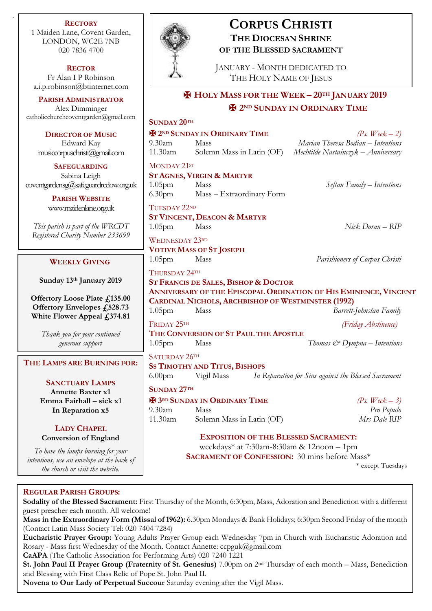**RECTORY** 1 Maiden Lane, Covent Garden, LONDON, WC2E 7NB 020 7836 4700

.

**RECTOR** Fr Alan I P Robinson [a.i.p.robinson@btinternet.com](mailto:a.i.p.robinson@btinternet.com)

**PARISH ADMINISTRATOR** Alex Dimminger catholicchurchcoventgarden@gr

**DIRECTOR OF MUSI** Edward Kay  $musicopuschristi(Qgmal.$ 

**SAFEGUARDING** Sabina Leigh  $cover the ardensg@safeguardred@s$ 

> **PARISH WEBSITE** [www.maidenlane.org.uk](http://www.maidenlane.org.uk/)

*This parish is part of the WR Registered Charity Number 2.* 

# **WEEKLY GIVING**

**Sunday 13<sup>th</sup> January 2019** 

**Offertory Loose Plate**  $f_i$ **. Offertory Envelopes £5 White Flower Appeal £3** 

> *Thank you for your contini generous support*

# $$

**SANCTUARY LAMPS Annette Baxter x1 Emma Fairhall – sick In Reparation x5**

# **LADY CHAPEL Conversion of England**

*To have the lamps burning for intentions, use an envelope at the the church or visit the webs* 



# **CORPUS CHRISTI THE DIOCESAN SHRINE OF THE BLESSED SACRAMENT**

JANUARY - MONTH DEDICATED TO THE HOLY NAME OF JESUS

✠ **HOLY MASS FOR THE WEEK – 20TH JANUARY 2019** ✠ **2ND SUNDAY IN ORDINARY TIME**

| mail.com                | <b>SUNDAY 20TH</b>                                                                                                            |                                      |                                                      |
|-------------------------|-------------------------------------------------------------------------------------------------------------------------------|--------------------------------------|------------------------------------------------------|
| $\overline{\mathbf{C}}$ |                                                                                                                               | <b>H</b> 2ND SUNDAY IN ORDINARY TIME | (Ps. Week $-2$ )                                     |
|                         | $9.30$ am                                                                                                                     | Mass                                 | Marian Theresa Bodian - Intentions                   |
| com                     | 11.30am                                                                                                                       | Solemn Mass in Latin (OF)            | Mechtilde Nastainczyk – Anniversary                  |
|                         | MONDAY 21ST                                                                                                                   |                                      |                                                      |
|                         | <b>ST AGNES, VIRGIN &amp; MARTYR</b>                                                                                          |                                      |                                                      |
| w.org.uk                | 1.05 <sub>pm</sub>                                                                                                            | Mass                                 | Seftan Family - Intentions                           |
|                         | 6.30 <sub>pm</sub>                                                                                                            | Mass - Extraordinary Form            |                                                      |
| Š.                      | TUESDAY 22ND                                                                                                                  |                                      |                                                      |
|                         | <b>ST VINCENT, DEACON &amp; MARTYR</b>                                                                                        |                                      |                                                      |
| <i>CDT</i><br>33699     | 1.05 <sub>pm</sub>                                                                                                            | Mass                                 | Nick Doran - RIP                                     |
|                         | <b>WEDNESDAY 23RD</b>                                                                                                         |                                      |                                                      |
|                         |                                                                                                                               | <b>VOTIVE MASS OF ST JOSEPH</b>      |                                                      |
|                         | 1.05 <sub>pm</sub>                                                                                                            | Mass                                 | Parishioners of Corpus Christi                       |
| 019                     | THURSDAY 24TH                                                                                                                 |                                      |                                                      |
|                         |                                                                                                                               | ST FRANCIS DE SALES, BISHOP & DOCTOR |                                                      |
| 135.00                  | ANNIVERSARY OF THE EPISCOPAL ORDINATION OF HIS EMINENCE, VINCENT<br><b>CARDINAL NICHOLS, ARCHBISHOP OF WESTMINSTER (1992)</b> |                                      |                                                      |
| 28.73                   | 1.05 <sub>pm</sub>                                                                                                            | Mass                                 | <b>Barrett-Johnstan Family</b>                       |
| 374.81                  | FRIDAY 25TH                                                                                                                   |                                      | (Friday Abstinence)                                  |
| ued                     | THE CONVERSION OF ST PAUL THE APOSTLE                                                                                         |                                      |                                                      |
|                         | 1.05 <sub>pm</sub>                                                                                                            | Mass                                 | Thomas $\mathcal{Q}$ Dympna – Intentions             |
|                         | SATURDAY 26TH                                                                                                                 |                                      |                                                      |
| <b>JG FOR:</b>          | <b>SS TIMOTHY AND TITUS, BISHOPS</b>                                                                                          |                                      |                                                      |
| S                       | 6.00 <sub>pm</sub>                                                                                                            | Vigil Mass                           | In Reparation for Sins against the Blessed Sacrament |
|                         | <b>SUNDAY 27TH</b>                                                                                                            |                                      |                                                      |
| :x1                     | <b>H</b> 3RD SUNDAY IN ORDINARY TIME                                                                                          |                                      | (Ps. Week $-3$ )                                     |
|                         | 9.30am                                                                                                                        | <b>Mass</b>                          | Pro Populo                                           |
|                         | $11.30$ am                                                                                                                    | Solemn Mass in Latin (OF)            | Mrs Dale RIP                                         |
| nd                      | <b>EXPOSITION OF THE BLESSED SACRAMENT:</b>                                                                                   |                                      |                                                      |
|                         | weekdays* at 7:30am-8:30am & 12noon - 1pm                                                                                     |                                      |                                                      |
| r your                  | <b>SACRAMENT OF CONFESSION:</b> 30 mins before Mass*                                                                          |                                      |                                                      |
| e back of<br>ite.       |                                                                                                                               |                                      | * except Tuesdays                                    |
|                         |                                                                                                                               |                                      |                                                      |

# **REGULAR PARISH GROUPS:**

**Sodality of the Blessed Sacrament:** First Thursday of the Month, 6:30pm, Mass, Adoration and Benediction with a different guest preacher each month. All welcome!

**Mass in the Extraordinary Form (Missal of 1962):** 6.30pm Mondays & Bank Holidays; 6:30pm Second Friday of the month (Contact Latin Mass Society Tel: 020 7404 7284)

**Eucharistic Prayer Group:** Young Adults Prayer Group each Wednesday 7pm in Church with Eucharistic Adoration and Rosary - Mass first Wednesday of the Month. Contact Annette: ccpguk@gmail.com

**CaAPA** (The Catholic Association for Performing Arts) 020 7240 1221

**St. John Paul II Prayer Group (Fraternity of St. Genesius)** 7.00pm on 2nd Thursday of each month – Mass, Benediction and Blessing with First Class Relic of Pope St. John Paul II.

**Novena to Our Lady of Perpetual Succour** Saturday evening after the Vigil Mass.